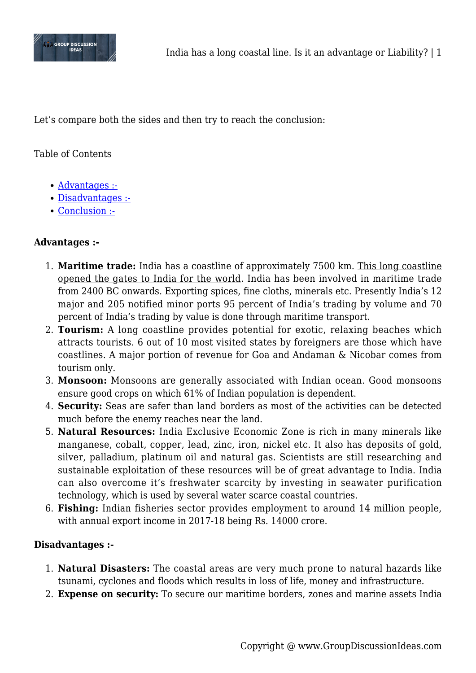

Let's compare both the sides and then try to reach the conclusion:

# Table of Contents

- [Advantages :-](#page--1-0)
- [Disadvantages :-](#page--1-0)
- [Conclusion :-](#page--1-0)

## **Advantages :-**

- 1. **Maritime trade:** India has a coastline of approximately 7500 km. This long coastline opened the gates to India for the world. India has been involved in maritime trade from 2400 BC onwards. Exporting spices, fine cloths, minerals etc. Presently India's 12 major and 205 notified minor ports 95 percent of India's trading by volume and 70 percent of India's trading by value is done through maritime transport.
- 2. **Tourism:** A long coastline provides potential for exotic, relaxing beaches which attracts tourists. 6 out of 10 most visited states by foreigners are those which have coastlines. A major portion of revenue for Goa and Andaman & Nicobar comes from tourism only.
- 3. **Monsoon:** Monsoons are generally associated with Indian ocean. Good monsoons ensure good crops on which 61% of Indian population is dependent.
- 4. **Security:** Seas are safer than land borders as most of the activities can be detected much before the enemy reaches near the land.
- 5. **Natural Resources:** India Exclusive Economic Zone is rich in many minerals like manganese, cobalt, copper, lead, zinc, iron, nickel etc. It also has deposits of gold, silver, palladium, platinum oil and natural gas. Scientists are still researching and sustainable exploitation of these resources will be of great advantage to India. India can also overcome it's freshwater scarcity by investing in seawater purification technology, which is used by several water scarce coastal countries.
- 6. **Fishing:** Indian fisheries sector provides employment to around 14 million people, with annual export income in 2017-18 being Rs. 14000 crore.

## **Disadvantages :-**

- 1. **Natural Disasters:** The coastal areas are very much prone to natural hazards like tsunami, cyclones and floods which results in loss of life, money and infrastructure.
- 2. **Expense on security:** To secure our maritime borders, zones and marine assets India